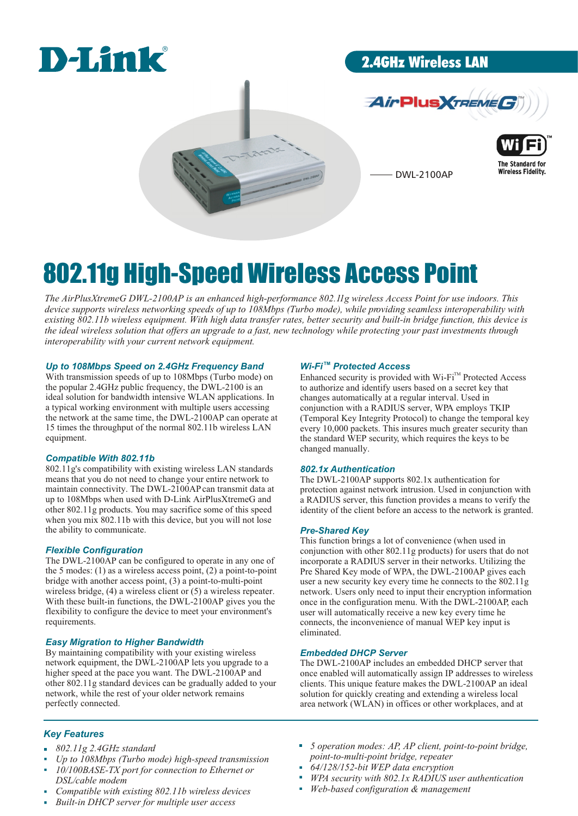

### 2.4GHz Wireless LAN

DWL-2100AP



**The Standard for Wireless Fidelity.** 

# 802.11g High-Speed Wireless Access Point

*The AirPlusXtremeG DWL-2100AP is an enhanced high-performance 802.11g wireless Access Point for use indoors. This device supports wireless networking speeds of up to 108Mbps (Turbo mode), while providing seamless interoperability with existing 802.11b wireless equipment. With high data transfer rates, better security and built-in bridge function, this device is the ideal wireless solution that offers an upgrade to a fast, new technology while protecting your past investments through interoperability with your current network equipment.*

#### *Up to 108Mbps Speed on 2.4GHz Frequency Band*

With transmission speeds of up to 108Mbps (Turbo mode) on the popular 2.4GHz public frequency, the DWL-2100 is an ideal solution for bandwidth intensive WLAN applications. In a typical working environment with multiple users accessing the network at the same time, the DWL-2100AP can operate at 15 times the throughput of the normal 802.11b wireless LAN equipment.

#### *Compatible With 802.11b*

802.11g's compatibility with existing wireless LAN standards means that you do not need to change your entire network to maintain connectivity. The DWL-2100AP can transmit data at up to 108Mbps when used with D-Link AirPlusXtremeG and other 802.11g products. You may sacrifice some of this speed when you mix 802.11b with this device, but you will not lose the ability to communicate.

#### *Flexible Configuration*

The DWL-2100AP can be configured to operate in any one of the 5 modes: (1) as a wireless access point, (2) a point-to-point bridge with another access point, (3) a point-to-multi-point wireless bridge, (4) a wireless client or (5) a wireless repeater. With these built-in functions, the DWL-2100AP gives you the flexibility to configure the device to meet your environment's requirements.

#### *Easy Migration to Higher Bandwidth*

By maintaining compatibility with your existing wireless network equipment, the DWL-2100AP lets you upgrade to a higher speed at the pace you want. The DWL-2100AP and other 802.11g standard devices can be gradually added to your network, while the rest of your older network remains perfectly connected.

#### *Wi-Fi™ Protected Access*

Enhanced security is provided with  $Wi$ -Fi<sup> $M$ </sup> Protected Access to authorize and identify users based on a secret key that changes automatically at a regular interval. Used in conjunction with a RADIUS server, WPA employs TKIP (Temporal Key Integrity Protocol) to change the temporal key every 10,000 packets. This insures much greater security than the standard WEP security, which requires the keys to be changed manually.

#### *802.1x Authentication*

The DWL-2100AP supports 802.1x authentication for protection against network intrusion. Used in conjunction with a RADIUS server, this function provides a means to verify the identity of the client before an access to the network is granted.

#### *Pre-Shared Key*

This function brings a lot of convenience (when used in conjunction with other 802.11g products) for users that do not incorporate a RADIUS server in their networks. Utilizing the Pre Shared Key mode of WPA, the DWL-2100AP gives each user a new security key every time he connects to the 802.11g network. Users only need to input their encryption information once in the configuration menu. With the DWL-2100AP, each user will automatically receive a new key every time he connects, the inconvenience of manual WEP key input is eliminated.

#### *Embedded DHCP Server*

The DWL-2100AP includes an embedded DHCP server that once enabled will automatically assign IP addresses to wireless clients. This unique feature makes the DWL-2100AP an ideal solution for quickly creating and extending a wireless local area network (WLAN) in offices or other workplaces, and at

#### *Key Features*

- *802.11g 2.4GHz standard*
- *Up to 108Mbps (Turbo mode) high-speed transmission*
- *10/100BASE-TX port for connection to Ethernet or DSL/cable modem*
- *Compatible with existing 802.11b wireless devices*
- *Built-in DHCP server for multiple user access*
- *5 operation modes: AP, AP client, point-to-point bridge, point-to-multi-point bridge, repeater*
- *64/128/152-bit WEP data encryption*
- *WPA security with 802.1x RADIUS user authentication*
- *Web-based configuration & management*